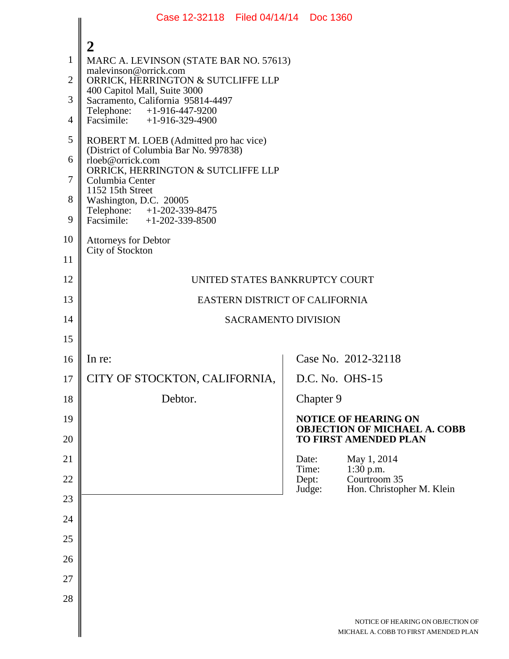|                | Case 12-32118 Filed 04/14/14 Doc 1360                                                           |                |                                                                                                    |  |  |  |
|----------------|-------------------------------------------------------------------------------------------------|----------------|----------------------------------------------------------------------------------------------------|--|--|--|
|                | $\overline{2}$                                                                                  |                |                                                                                                    |  |  |  |
| $\mathbf{1}$   | MARC A. LEVINSON (STATE BAR NO. 57613)                                                          |                |                                                                                                    |  |  |  |
| $\overline{2}$ | malevinson@orrick.com<br>ORRICK, HERRINGTON & SUTCLIFFE LLP                                     |                |                                                                                                    |  |  |  |
| 3              | 400 Capitol Mall, Suite 3000<br>Sacramento, California 95814-4497<br>Telephone: +1-916-447-9200 |                |                                                                                                    |  |  |  |
| $\overline{4}$ | Facsimile: $+1-916-329-4900$                                                                    |                |                                                                                                    |  |  |  |
| 5              | ROBERT M. LOEB (Admitted pro hac vice)<br>(District of Columbia Bar No. 997838)                 |                |                                                                                                    |  |  |  |
| 6              | rloeb@orrick.com<br>ORRICK, HERRINGTON & SUTCLIFFE LLP                                          |                |                                                                                                    |  |  |  |
| 7              | Columbia Center<br>1152 15th Street                                                             |                |                                                                                                    |  |  |  |
| 8              | Washington, D.C. 20005<br>Telephone: +1-202-339-8475                                            |                |                                                                                                    |  |  |  |
| 9              | Facsimile: $+1-202-339-8500$                                                                    |                |                                                                                                    |  |  |  |
| 10             | <b>Attorneys for Debtor</b><br>City of Stockton                                                 |                |                                                                                                    |  |  |  |
| 11             |                                                                                                 |                |                                                                                                    |  |  |  |
| 12             | UNITED STATES BANKRUPTCY COURT                                                                  |                |                                                                                                    |  |  |  |
| 13             | EASTERN DISTRICT OF CALIFORNIA                                                                  |                |                                                                                                    |  |  |  |
| 14             | <b>SACRAMENTO DIVISION</b>                                                                      |                |                                                                                                    |  |  |  |
| 15             |                                                                                                 |                |                                                                                                    |  |  |  |
| 16             | In re:                                                                                          |                | Case No. 2012-32118                                                                                |  |  |  |
| 17             | CITY OF STOCKTON, CALIFORNIA,                                                                   |                | D.C. No. OHS-15                                                                                    |  |  |  |
| 18             | Debtor.                                                                                         | Chapter 9      |                                                                                                    |  |  |  |
| 19<br>20       |                                                                                                 |                | <b>NOTICE OF HEARING ON</b><br><b>OBJECTION OF MICHAEL A. COBB</b><br><b>TO FIRST AMENDED PLAN</b> |  |  |  |
| 21             |                                                                                                 | Date:          | May 1, 2014                                                                                        |  |  |  |
| 22             |                                                                                                 | Time:<br>Dept: | $1:30$ p.m.<br>Courtroom 35                                                                        |  |  |  |
| 23             |                                                                                                 | Judge:         | Hon. Christopher M. Klein                                                                          |  |  |  |
| 24             |                                                                                                 |                |                                                                                                    |  |  |  |
| 25             |                                                                                                 |                |                                                                                                    |  |  |  |
| 26             |                                                                                                 |                |                                                                                                    |  |  |  |
| 27             |                                                                                                 |                |                                                                                                    |  |  |  |
| 28             |                                                                                                 |                |                                                                                                    |  |  |  |
|                |                                                                                                 |                | NOTICE OF HEARING ON OBJECTION                                                                     |  |  |  |
|                |                                                                                                 |                | MICHAEL A. COBB TO FIRST AMENDED PI                                                                |  |  |  |